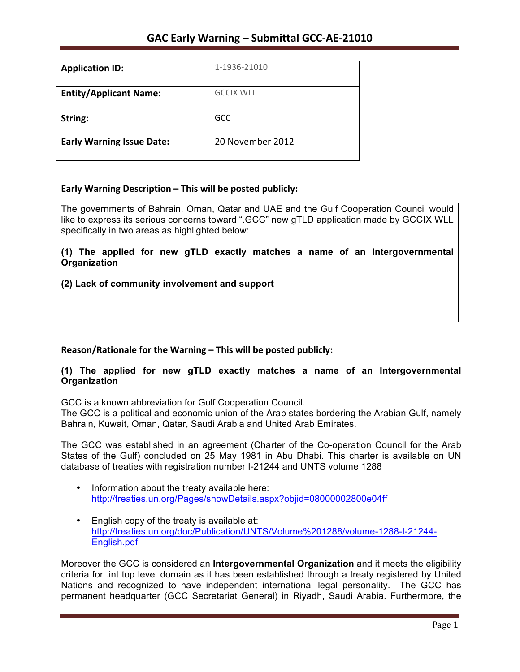| <b>Application ID:</b>           | 1-1936-21010     |
|----------------------------------|------------------|
| <b>Entity/Applicant Name:</b>    | <b>GCCIX WLL</b> |
| String:                          | <b>GCC</b>       |
| <b>Early Warning Issue Date:</b> | 20 November 2012 |

## **Early Warning Description – This will be posted publicly:**

The governments of Bahrain, Oman, Qatar and UAE and the Gulf Cooperation Council would like to express its serious concerns toward ".GCC" new gTLD application made by GCCIX WLL specifically in two areas as highlighted below:

**(1) The applied for new gTLD exactly matches a name of an Intergovernmental Organization** 

## **(2) Lack of community involvement and support**

## Reason/Rationale for the Warning – This will be posted publicly:

## **(1) The applied for new gTLD exactly matches a name of an Intergovernmental Organization**

GCC is a known abbreviation for Gulf Cooperation Council.

The GCC is a political and economic union of the Arab states bordering the Arabian Gulf, namely Bahrain, Kuwait, Oman, Qatar, Saudi Arabia and United Arab Emirates.

The GCC was established in an agreement (Charter of the Co-operation Council for the Arab States of the Gulf) concluded on 25 May 1981 in Abu Dhabi. This charter is available on UN database of treaties with registration number I-21244 and UNTS volume 1288

- Information about the treaty available here: http://treaties.un.org/Pages/showDetails.aspx?objid=08000002800e04ff
- English copy of the treaty is available at: http://treaties.un.org/doc/Publication/UNTS/Volume%201288/volume-1288-I-21244- English.pdf

Moreover the GCC is considered an **Intergovernmental Organization** and it meets the eligibility criteria for .int top level domain as it has been established through a treaty registered by United Nations and recognized to have independent international legal personality. The GCC has permanent headquarter (GCC Secretariat General) in Riyadh, Saudi Arabia. Furthermore, the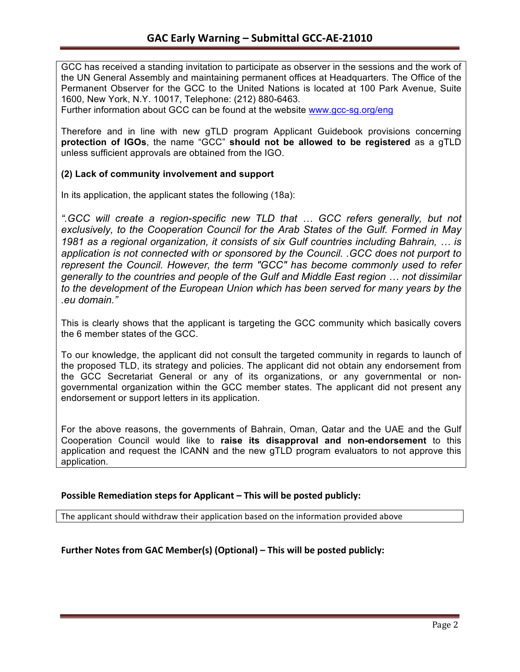GCC has received a standing invitation to participate as observer in the sessions and the work of the UN General Assembly and maintaining permanent offices at Headquarters. The Office of the Permanent Observer for the GCC to the United Nations is located at 100 Park Avenue, Suite 1600, New York, N.Y. 10017, Telephone: (212) 880-6463.

Further information about GCC can be found at the website www.gcc-sg.org/eng

Therefore and in line with new gTLD program Applicant Guidebook provisions concerning **protection of IGOs**, the name "GCC" **should not be allowed to be registered** as a gTLD unless sufficient approvals are obtained from the IGO.

## **(2) Lack of community involvement and support**

In its application, the applicant states the following (18a):

*".GCC will create a region-specific new TLD that … GCC refers generally, but not exclusively, to the Cooperation Council for the Arab States of the Gulf. Formed in May 1981 as a regional organization, it consists of six Gulf countries including Bahrain, … is application is not connected with or sponsored by the Council. .GCC does not purport to represent the Council. However, the term "GCC" has become commonly used to refer generally to the countries and people of the Gulf and Middle East region … not dissimilar to the development of the European Union which has been served for many years by the .eu domain."*

This is clearly shows that the applicant is targeting the GCC community which basically covers the 6 member states of the GCC.

To our knowledge, the applicant did not consult the targeted community in regards to launch of the proposed TLD, its strategy and policies. The applicant did not obtain any endorsement from the GCC Secretariat General or any of its organizations, or any governmental or nongovernmental organization within the GCC member states. The applicant did not present any endorsement or support letters in its application.

For the above reasons, the governments of Bahrain, Oman, Qatar and the UAE and the Gulf Cooperation Council would like to **raise its disapproval and non-endorsement** to this application and request the ICANN and the new gTLD program evaluators to not approve this application.

### **Possible Remediation steps for Applicant – This will be posted publicly:**

The applicant should withdraw their application based on the information provided above

**Further Notes from GAC Member(s) (Optional) – This will be posted publicly:**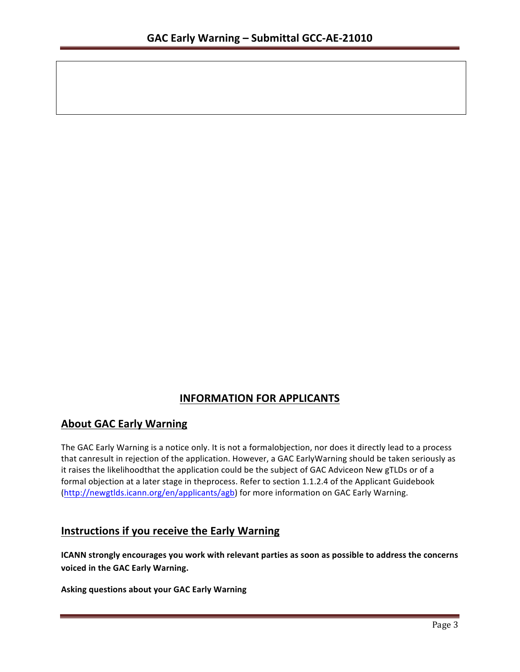# **INFORMATION FOR APPLICANTS**

# **About GAC Early Warning**

The GAC Early Warning is a notice only. It is not a formalobjection, nor does it directly lead to a process that canresult in rejection of the application. However, a GAC EarlyWarning should be taken seriously as it raises the likelihoodthat the application could be the subject of GAC Adviceon New gTLDs or of a formal objection at a later stage in theprocess. Refer to section 1.1.2.4 of the Applicant Guidebook (http://newgtlds.icann.org/en/applicants/agb) for more information on GAC Early Warning.

# **Instructions if you receive the Early Warning**

**ICANN** strongly encourages you work with relevant parties as soon as possible to address the concerns **voiced in the GAC Early Warning.** 

**Asking questions about your GAC Early Warning**